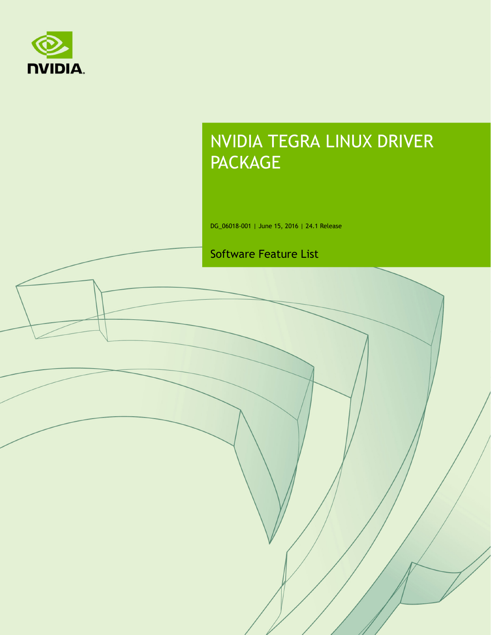

# NVIDIA TEGRA LINUX DRIVER PACKAGE

DG\_06018-001 | June 15, 2016 | 24.1 Release

#### Software Feature List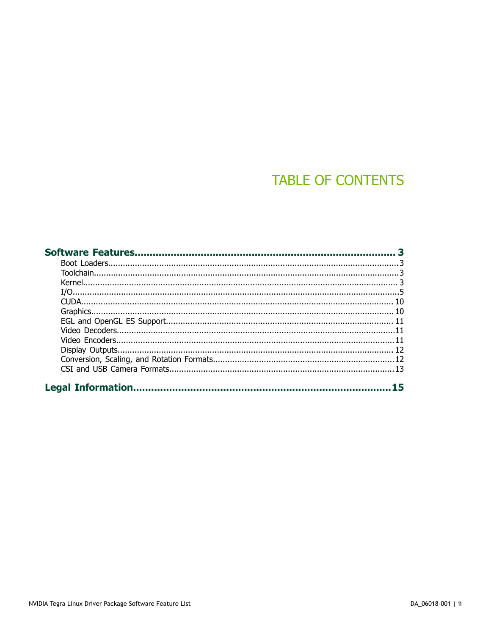## **TABLE OF CONTENTS**

| 15 |
|----|
|    |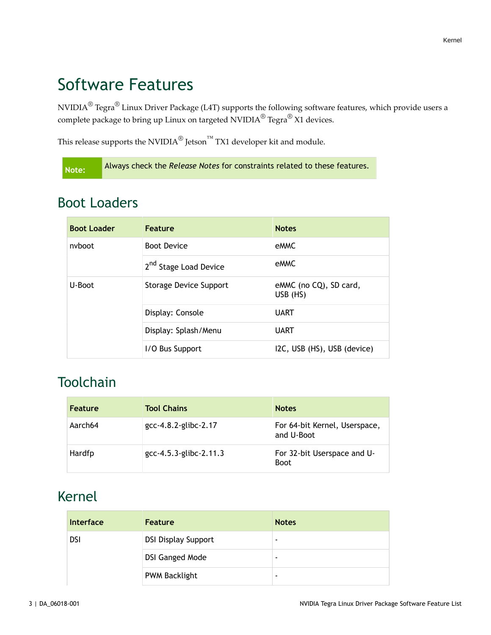## <span id="page-2-0"></span>Software Features

NVIDIA $^\circledR$  Tegra $^\circledR$  Linux Driver Package (L4T) supports the following software features, which provide users a complete package to bring up Linux on targeted NVIDIA $^\circledR$  Tegra $^\circledR$  X1 devices.

This release supports the NVIDIA $^\circledR$  Jetson $^{\text{\tiny{\textsf{TM}}}}$  TX1 developer kit and module.

**Note:** Always check the *Release Notes* for constraints related to these features.

#### <span id="page-2-1"></span>Boot Loaders

| <b>Boot Loader</b> | Feature                           | <b>Notes</b>                       |
|--------------------|-----------------------------------|------------------------------------|
| nyboot             | <b>Boot Device</b>                | eMMC                               |
|                    | 2 <sup>nd</sup> Stage Load Device | eMMC                               |
| U-Boot             | Storage Device Support            | eMMC (no CQ), SD card,<br>USB (HS) |
|                    | Display: Console                  | <b>UART</b>                        |
|                    | Display: Splash/Menu              | <b>UART</b>                        |
|                    | I/O Bus Support                   | I2C, USB (HS), USB (device)        |

#### <span id="page-2-2"></span>**Toolchain**

| Feature | <b>Tool Chains</b>     | <b>Notes</b>                                |
|---------|------------------------|---------------------------------------------|
| Aarch64 | gcc-4.8.2-glibc-2.17   | For 64-bit Kernel, Userspace,<br>and U-Boot |
| Hardfp  | gcc-4.5.3-glibc-2.11.3 | For 32-bit Userspace and U-<br><b>Boot</b>  |

#### <span id="page-2-3"></span>Kernel

| Interface  | <b>Feature</b>             | <b>Notes</b> |
|------------|----------------------------|--------------|
| <b>DSI</b> | <b>DSI Display Support</b> | -            |
|            | <b>DSI Ganged Mode</b>     | ٠            |
|            | <b>PWM Backlight</b>       | ٠            |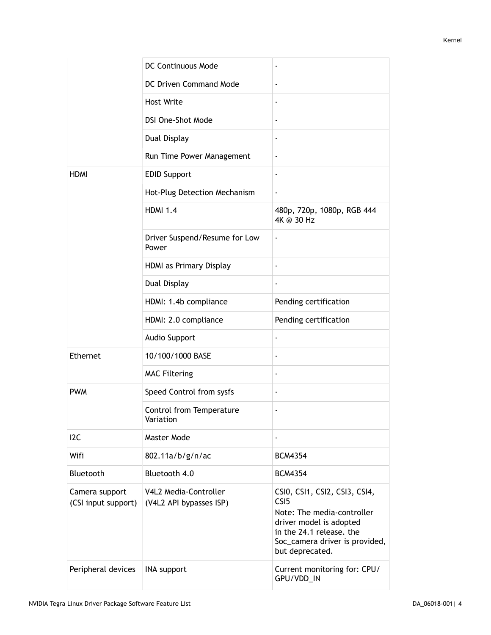|                                       | DC Continuous Mode                               |                                                                                                                                                                                             |
|---------------------------------------|--------------------------------------------------|---------------------------------------------------------------------------------------------------------------------------------------------------------------------------------------------|
|                                       | DC Driven Command Mode                           | $\overline{\phantom{a}}$                                                                                                                                                                    |
|                                       | <b>Host Write</b>                                | $\overline{\phantom{a}}$                                                                                                                                                                    |
|                                       | <b>DSI One-Shot Mode</b>                         | $\blacksquare$                                                                                                                                                                              |
|                                       | Dual Display                                     | $\blacksquare$                                                                                                                                                                              |
|                                       | Run Time Power Management                        | $\overline{\phantom{a}}$                                                                                                                                                                    |
| <b>HDMI</b>                           | <b>EDID Support</b>                              | $\overline{\phantom{a}}$                                                                                                                                                                    |
|                                       | Hot-Plug Detection Mechanism                     | $\overline{\phantom{a}}$                                                                                                                                                                    |
|                                       | <b>HDMI 1.4</b>                                  | 480p, 720p, 1080p, RGB 444<br>4K @ 30 Hz                                                                                                                                                    |
|                                       | Driver Suspend/Resume for Low<br>Power           | $\overline{\phantom{a}}$                                                                                                                                                                    |
|                                       | HDMI as Primary Display                          | $\overline{\phantom{a}}$                                                                                                                                                                    |
|                                       | Dual Display                                     |                                                                                                                                                                                             |
|                                       | HDMI: 1.4b compliance                            | Pending certification                                                                                                                                                                       |
|                                       | HDMI: 2.0 compliance                             | Pending certification                                                                                                                                                                       |
|                                       | <b>Audio Support</b>                             | $\overline{\phantom{a}}$                                                                                                                                                                    |
| Ethernet                              | 10/100/1000 BASE                                 | $\overline{\phantom{a}}$                                                                                                                                                                    |
|                                       | <b>MAC Filtering</b>                             | $\overline{\phantom{a}}$                                                                                                                                                                    |
| <b>PWM</b>                            | Speed Control from sysfs                         | $\blacksquare$                                                                                                                                                                              |
|                                       | Control from Temperature<br>Variation            |                                                                                                                                                                                             |
| 12C                                   | Master Mode                                      | $\overline{\phantom{a}}$                                                                                                                                                                    |
| Wifi                                  | 802.11a/b/g/n/ac                                 | <b>BCM4354</b>                                                                                                                                                                              |
| Bluetooth                             | Bluetooth 4.0                                    | <b>BCM4354</b>                                                                                                                                                                              |
| Camera support<br>(CSI input support) | V4L2 Media-Controller<br>(V4L2 API bypasses ISP) | CSI0, CSI1, CSI2, CSI3, CSI4,<br>CS <sub>I5</sub><br>Note: The media-controller<br>driver model is adopted<br>in the 24.1 release. the<br>Soc_camera driver is provided,<br>but deprecated. |
| Peripheral devices                    | <b>INA support</b>                               | Current monitoring for: CPU/<br>GPU/VDD_IN                                                                                                                                                  |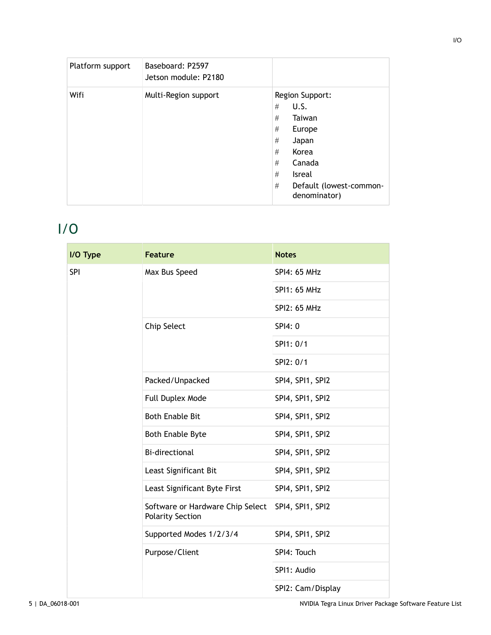| Platform support | Baseboard: P2597<br>Jetson module: P2180 |                                                                                                                                                                             |
|------------------|------------------------------------------|-----------------------------------------------------------------------------------------------------------------------------------------------------------------------------|
| Wifi             | Multi-Region support                     | Region Support:<br>U.S.<br>#<br>#<br>Taiwan<br>#<br>Europe<br>#<br>Japan<br>Korea<br>#<br>#<br>Canada<br>#<br><b>Isreal</b><br>#<br>Default (lowest-common-<br>denominator) |

## <span id="page-4-0"></span>I/O

| I/O Type   | <b>Feature</b>                                              | <b>Notes</b>        |
|------------|-------------------------------------------------------------|---------------------|
| <b>SPI</b> | Max Bus Speed                                               | <b>SPI4: 65 MHz</b> |
|            |                                                             | SPI1: 65 MHz        |
|            |                                                             | <b>SPI2: 65 MHz</b> |
|            | Chip Select                                                 | SPI4: 0             |
|            |                                                             | SPI1: 0/1           |
|            |                                                             | SPI2: 0/1           |
|            | Packed/Unpacked                                             | SPI4, SPI1, SPI2    |
|            | Full Duplex Mode                                            | SPI4, SPI1, SPI2    |
|            | <b>Both Enable Bit</b>                                      | SPI4, SPI1, SPI2    |
|            | <b>Both Enable Byte</b>                                     | SPI4, SPI1, SPI2    |
|            | <b>Bi-directional</b>                                       | SPI4, SPI1, SPI2    |
|            | Least Significant Bit                                       | SPI4, SPI1, SPI2    |
|            | Least Significant Byte First                                | SPI4, SPI1, SPI2    |
|            | Software or Hardware Chip Select<br><b>Polarity Section</b> | SPI4, SPI1, SPI2    |
|            | Supported Modes 1/2/3/4                                     | SPI4, SPI1, SPI2    |
|            | Purpose/Client                                              | SPI4: Touch         |
|            |                                                             | SPI1: Audio         |
|            |                                                             | SPI2: Cam/Display   |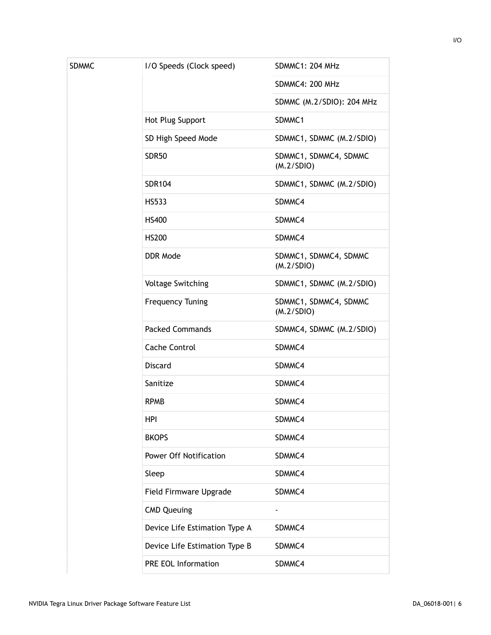| <b>SDMMC</b> | I/O Speeds (Clock speed)      | SDMMC1: 204 MHz                     |
|--------------|-------------------------------|-------------------------------------|
|              |                               | SDMMC4: 200 MHz                     |
|              |                               | SDMMC (M.2/SDIO): 204 MHz           |
|              | Hot Plug Support              | SDMMC1                              |
|              | SD High Speed Mode            | SDMMC1, SDMMC (M.2/SDIO)            |
|              | <b>SDR50</b>                  | SDMMC1, SDMMC4, SDMMC<br>(M.2/SDIO) |
|              | <b>SDR104</b>                 | SDMMC1, SDMMC (M.2/SDIO)            |
|              | <b>HS533</b>                  | SDMMC4                              |
|              | <b>HS400</b>                  | SDMMC4                              |
|              | <b>HS200</b>                  | SDMMC4                              |
|              | <b>DDR Mode</b>               | SDMMC1, SDMMC4, SDMMC<br>(M.2/SDIO) |
|              | <b>Voltage Switching</b>      | SDMMC1, SDMMC (M.2/SDIO)            |
|              | <b>Frequency Tuning</b>       | SDMMC1, SDMMC4, SDMMC<br>(M.2/SDIO) |
|              | <b>Packed Commands</b>        | SDMMC4, SDMMC (M.2/SDIO)            |
|              | <b>Cache Control</b>          | SDMMC4                              |
|              | <b>Discard</b>                | SDMMC4                              |
|              | Sanitize                      | SDMMC4                              |
|              | <b>RPMB</b>                   | SDMMC4                              |
|              | HPI                           | SDMMC4                              |
|              | <b>BKOPS</b>                  | SDMMC4                              |
|              | <b>Power Off Notification</b> | SDMMC4                              |
|              | Sleep                         | SDMMC4                              |
|              | Field Firmware Upgrade        | SDMMC4                              |
|              | <b>CMD Queuing</b>            | $\overline{\phantom{a}}$            |
|              | Device Life Estimation Type A | SDMMC4                              |
|              | Device Life Estimation Type B | SDMMC4                              |
|              | <b>PRE EOL Information</b>    | SDMMC4                              |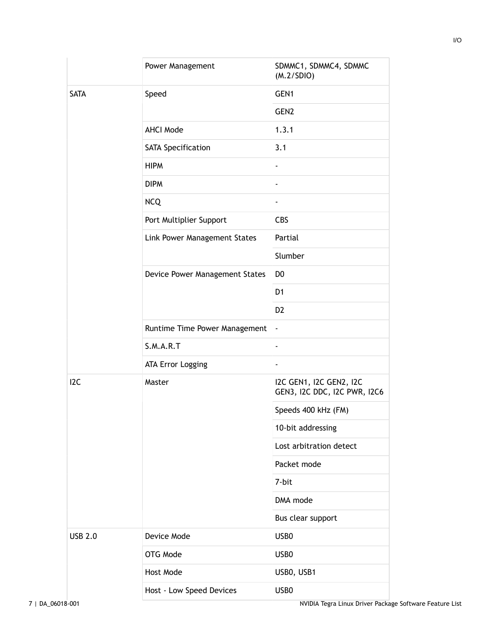|                  | Power Management               | SDMMC1, SDMMC4, SDMMC<br>(M.2/SDIO)                     |
|------------------|--------------------------------|---------------------------------------------------------|
| <b>SATA</b>      | Speed                          | GEN1                                                    |
|                  |                                | GEN <sub>2</sub>                                        |
|                  | <b>AHCI Mode</b>               | 1.3.1                                                   |
|                  | SATA Specification             | 3.1                                                     |
|                  | <b>HIPM</b>                    | $\blacksquare$                                          |
|                  | <b>DIPM</b>                    | $\overline{\phantom{a}}$                                |
|                  | <b>NCQ</b>                     | $\overline{\phantom{a}}$                                |
|                  | Port Multiplier Support        | CBS                                                     |
|                  | Link Power Management States   | Partial                                                 |
|                  |                                | Slumber                                                 |
|                  | Device Power Management States | D <sub>0</sub>                                          |
|                  |                                | D <sub>1</sub>                                          |
|                  |                                | D <sub>2</sub>                                          |
|                  | Runtime Time Power Management  | $\overline{\phantom{a}}$                                |
|                  | S.M.A.R.T                      | $\overline{\phantom{a}}$                                |
|                  | ATA Error Logging              | $\overline{\phantom{a}}$                                |
| I <sub>2</sub> C | Master                         | I2C GEN1, I2C GEN2, I2C<br>GEN3, I2C DDC, I2C PWR, I2C6 |
|                  |                                | Speeds 400 kHz (FM)                                     |
|                  |                                | 10-bit addressing                                       |
|                  |                                | Lost arbitration detect                                 |
|                  |                                | Packet mode                                             |
|                  |                                | 7-bit                                                   |
|                  |                                | DMA mode                                                |
|                  |                                | Bus clear support                                       |
| <b>USB 2.0</b>   | Device Mode                    | USB <sub>0</sub>                                        |
|                  | OTG Mode                       | USB <sub>0</sub>                                        |
|                  | Host Mode                      | USB0, USB1                                              |
|                  | Host - Low Speed Devices       | USB0                                                    |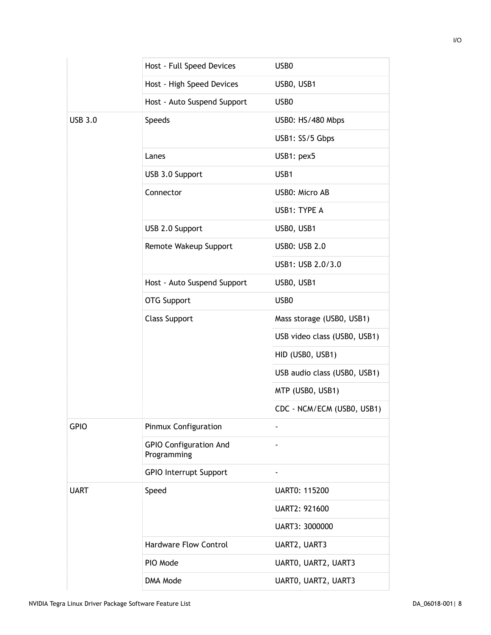|                | Host - Full Speed Devices                    | USB <sub>0</sub>             |
|----------------|----------------------------------------------|------------------------------|
|                | Host - High Speed Devices                    | USB0, USB1                   |
|                | Host - Auto Suspend Support                  | USB <sub>0</sub>             |
| <b>USB 3.0</b> | <b>Speeds</b>                                | USB0: HS/480 Mbps            |
|                |                                              | USB1: SS/5 Gbps              |
|                | Lanes                                        | USB1: pex5                   |
|                | USB 3.0 Support                              | USB1                         |
|                | Connector                                    | <b>USB0: Micro AB</b>        |
|                |                                              | USB1: TYPE A                 |
|                | USB 2.0 Support                              | USBO, USB1                   |
|                | Remote Wakeup Support                        | <b>USB0: USB 2.0</b>         |
|                |                                              | USB1: USB 2.0/3.0            |
|                | Host - Auto Suspend Support                  | USB0, USB1                   |
|                | OTG Support                                  | USB <sub>0</sub>             |
|                | <b>Class Support</b>                         | Mass storage (USB0, USB1)    |
|                |                                              | USB video class (USB0, USB1) |
|                |                                              | HID (USBO, USB1)             |
|                |                                              | USB audio class (USB0, USB1) |
|                |                                              | MTP (USB0, USB1)             |
|                |                                              | CDC - NCM/ECM (USB0, USB1)   |
| <b>GPIO</b>    | Pinmux Configuration                         | $\overline{a}$               |
|                | <b>GPIO Configuration And</b><br>Programming | $\overline{\phantom{a}}$     |
|                | <b>GPIO Interrupt Support</b>                | $\overline{\phantom{a}}$     |
| <b>UART</b>    | Speed                                        | <b>UART0: 115200</b>         |
|                |                                              | UART2: 921600                |
|                |                                              | UART3: 3000000               |
|                | <b>Hardware Flow Control</b>                 | UART2, UART3                 |
|                | PIO Mode                                     | UARTO, UART2, UART3          |
|                | DMA Mode                                     | UARTO, UART2, UART3          |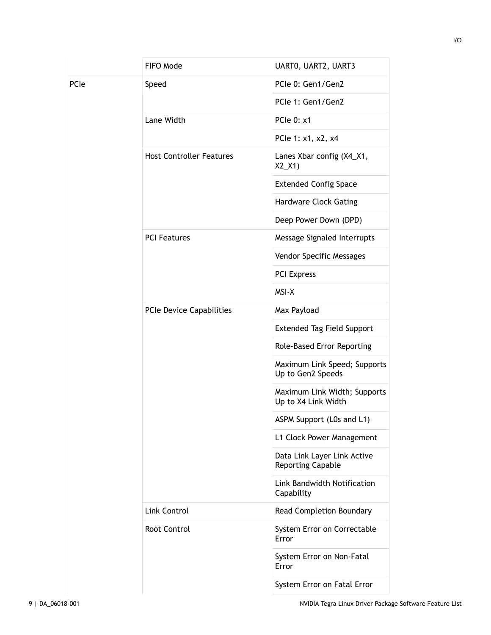|      | FIFO Mode                       | UARTO, UART2, UART3                                     |
|------|---------------------------------|---------------------------------------------------------|
| PCIe | Speed                           | PCle 0: Gen1/Gen2                                       |
|      |                                 | PCIe 1: Gen1/Gen2                                       |
|      | Lane Width                      | <b>PCIe 0: x1</b>                                       |
|      |                                 | PCle 1: x1, x2, x4                                      |
|      | <b>Host Controller Features</b> | Lanes Xbar config (X4_X1,<br>$X2_X(1)$                  |
|      |                                 | <b>Extended Config Space</b>                            |
|      |                                 | <b>Hardware Clock Gating</b>                            |
|      |                                 | Deep Power Down (DPD)                                   |
|      | <b>PCI Features</b>             | Message Signaled Interrupts                             |
|      |                                 | Vendor Specific Messages                                |
|      |                                 | <b>PCI Express</b>                                      |
|      |                                 | MSI-X                                                   |
|      | PCIe Device Capabilities        | Max Payload                                             |
|      |                                 | <b>Extended Tag Field Support</b>                       |
|      |                                 | Role-Based Error Reporting                              |
|      |                                 | Maximum Link Speed; Supports<br>Up to Gen2 Speeds       |
|      |                                 | Maximum Link Width; Supports<br>Up to X4 Link Width     |
|      |                                 | ASPM Support (L0s and L1)                               |
|      |                                 | L1 Clock Power Management                               |
|      |                                 | Data Link Layer Link Active<br><b>Reporting Capable</b> |
|      |                                 | Link Bandwidth Notification<br>Capability               |
|      | Link Control                    | Read Completion Boundary                                |
|      | Root Control                    | System Error on Correctable<br>Error                    |
|      |                                 | System Error on Non-Fatal<br>Error                      |
|      |                                 | System Error on Fatal Error                             |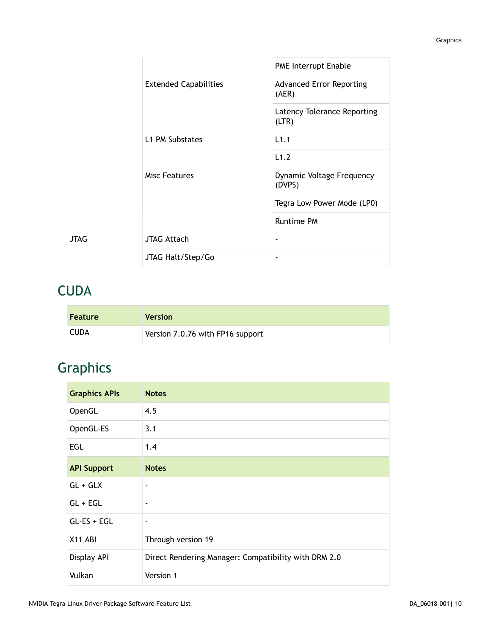|             |                              | PME Interrupt Enable                     |
|-------------|------------------------------|------------------------------------------|
|             | <b>Extended Capabilities</b> | <b>Advanced Error Reporting</b><br>(AER) |
|             |                              | Latency Tolerance Reporting<br>(LTR)     |
|             | L1 PM Substates              | L1.1                                     |
|             |                              | L1.2                                     |
|             | <b>Misc Features</b>         | Dynamic Voltage Frequency<br>(DVPS)      |
|             |                              | Tegra Low Power Mode (LP0)               |
|             |                              | <b>Runtime PM</b>                        |
| <b>JTAG</b> | <b>JTAG Attach</b>           | -                                        |
|             | JTAG Halt/Step/Go            |                                          |

#### <span id="page-9-0"></span>**CUDA**

| <b>Feature</b> | <b>Version</b>                   |
|----------------|----------------------------------|
| CUDA           | Version 7.0.76 with FP16 support |

## <span id="page-9-1"></span>Graphics

| <b>Graphics APIs</b> | <b>Notes</b>                                         |
|----------------------|------------------------------------------------------|
| OpenGL               | 4.5                                                  |
| OpenGL-ES            | 3.1                                                  |
| EGL                  | 1.4                                                  |
| <b>API Support</b>   | <b>Notes</b>                                         |
| $GL + GLX$           | $\overline{\phantom{a}}$                             |
| $GL + EGL$           | $\overline{\phantom{a}}$                             |
| $GL-ES + EGL$        | $\overline{\phantom{a}}$                             |
| X11 ABI              | Through version 19                                   |
| Display API          | Direct Rendering Manager: Compatibility with DRM 2.0 |
| Vulkan               | Version 1                                            |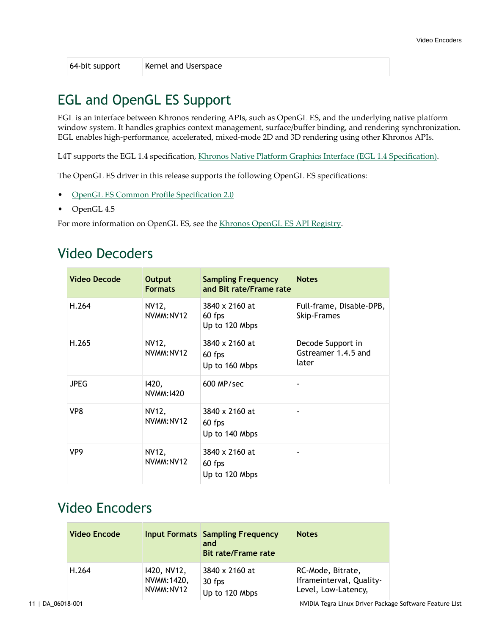64-bit support Kernel and Userspace

### <span id="page-10-0"></span>EGL and OpenGL ES Support

EGL is an interface between Khronos rendering APIs, such as OpenGL ES, and the underlying native platform window system. It handles graphics context management, surface/buffer binding, and rendering synchronization. EGL enables high-performance, accelerated, mixed-mode 2D and 3D rendering using other Khronos APIs.

L4T supports the EGL 1.4 specification, Khronos Native Platform Graphics Interface (EGL 1.4 [Specification\)](http://www.khronos.org/registry/egl/specs/eglspec.1.4.20110406.pdf).

The OpenGL ES driver in this release supports the following OpenGL ES specifications:

- [OpenGL ES Common Profile Specification 2.0](http://www.khronos.org/registry/gles/specs/2.0/es_full_spec_2.0.25.pdf)
- OpenGL 4.5

For more information on OpenGL ES, see the [Khronos OpenGL ES API Registry](http://www.khronos.org/registry/gles/).

#### <span id="page-10-1"></span>Video Decoders

| <b>Video Decode</b> | Output<br><b>Formats</b> | <b>Sampling Frequency</b><br>and Bit rate/Frame rate | <b>Notes</b>                                      |
|---------------------|--------------------------|------------------------------------------------------|---------------------------------------------------|
| H.264               | NV12,<br>NVMM:NV12       | 3840 x 2160 at<br>60 fps<br>Up to 120 Mbps           | Full-frame, Disable-DPB,<br>Skip-Frames           |
| H.265               | NV12,<br>NVMM:NV12       | 3840 x 2160 at<br>60 fps<br>Up to 160 Mbps           | Decode Support in<br>Gstreamer 1.4.5 and<br>later |
| <b>JPEG</b>         | 1420,<br>NVMM:1420       | $600$ MP/sec                                         |                                                   |
| VP8                 | NV12,<br>NVMM:NV12       | 3840 x 2160 at<br>60 fps<br>Up to 140 Mbps           |                                                   |
| VP <sub>9</sub>     | NV12,<br>NVMM:NV12       | 3840 x 2160 at<br>60 fps<br>Up to 120 Mbps           |                                                   |

#### <span id="page-10-2"></span>Video Encoders

| <b>Video Encode</b> |             | <b>Input Formats Sampling Frequency</b><br>and<br><b>Bit rate/Frame rate</b> | <b>Notes</b>             |
|---------------------|-------------|------------------------------------------------------------------------------|--------------------------|
| H.264               | 1420, NV12, | 3840 x 2160 at                                                               | RC-Mode, Bitrate,        |
|                     | NVMM: 1420, | 30 fps                                                                       | Iframeinterval, Quality- |
|                     | NVMM:NV12   | Up to 120 Mbps                                                               | Level, Low-Latency,      |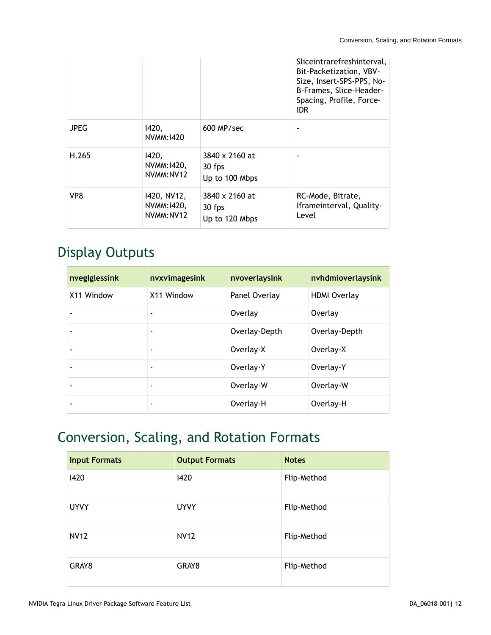|             |                                         |                                            | Sliceintrarefreshinterval,<br>Bit-Packetization, VBV-<br>Size, Insert-SPS-PPS, No-<br>B-Frames, Slice-Header-<br>Spacing, Profile, Force-<br>IDR. |
|-------------|-----------------------------------------|--------------------------------------------|---------------------------------------------------------------------------------------------------------------------------------------------------|
| <b>JPEG</b> | 1420,<br>NVMM:1420                      | $600$ MP/sec                               |                                                                                                                                                   |
| H.265       | 1420,<br>NVMM:1420,<br>NVMM:NV12        | 3840 x 2160 at<br>30 fps<br>Up to 100 Mbps |                                                                                                                                                   |
| VP8         | 1420, NV12,<br>NVMM: 1420,<br>NVMM:NV12 | 3840 x 2160 at<br>30 fps<br>Up to 120 Mbps | RC-Mode, Bitrate,<br>Iframeinterval, Quality-<br>Level                                                                                            |

### <span id="page-11-0"></span>Display Outputs

| nveglglessink | nvxvimagesink            | nvoverlaysink | nvhdmioverlaysink   |
|---------------|--------------------------|---------------|---------------------|
| X11 Window    | X11 Window               | Panel Overlay | <b>HDMI Overlay</b> |
|               |                          | Overlay       | Overlay             |
|               | $\overline{\phantom{0}}$ | Overlay-Depth | Overlay-Depth       |
|               | $\overline{\phantom{0}}$ | Overlay-X     | Overlay-X           |
|               | ٠                        | Overlay-Y     | Overlay-Y           |
|               | $\overline{\phantom{0}}$ | Overlay-W     | Overlay-W           |
|               | ۰                        | Overlay-H     | Overlay-H           |

## <span id="page-11-1"></span>Conversion, Scaling, and Rotation Formats

| <b>Input Formats</b> | <b>Output Formats</b> | <b>Notes</b> |
|----------------------|-----------------------|--------------|
| 1420                 | 1420                  | Flip-Method  |
| <b>UYVY</b>          | <b>UYVY</b>           | Flip-Method  |
| <b>NV12</b>          | <b>NV12</b>           | Flip-Method  |
| GRAY8                | GRAY8                 | Flip-Method  |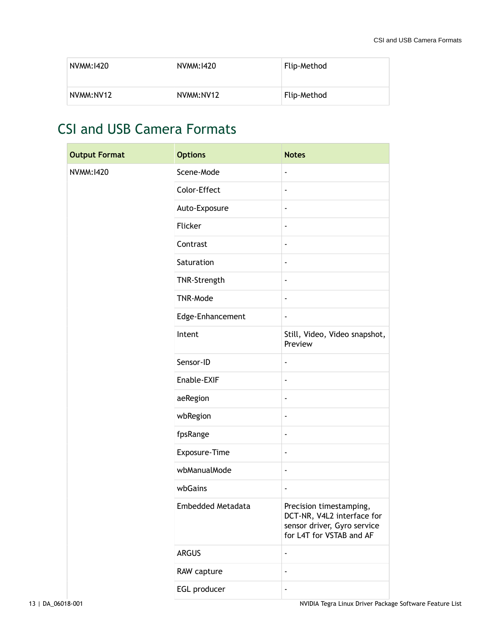| NVMM:1420 | NVMM:1420 | Flip-Method |
|-----------|-----------|-------------|
| NVMM:NV12 | NVMM:NV12 | Flip-Method |

### <span id="page-12-0"></span>CSI and USB Camera Formats

| <b>Output Format</b> | <b>Options</b>    | <b>Notes</b>                                                                                                     |
|----------------------|-------------------|------------------------------------------------------------------------------------------------------------------|
| NVMM:1420            | Scene-Mode        | $\overline{\phantom{a}}$                                                                                         |
|                      | Color-Effect      | $\qquad \qquad \blacksquare$                                                                                     |
|                      | Auto-Exposure     | $\overline{\phantom{a}}$                                                                                         |
|                      | Flicker           | $\overline{\phantom{a}}$                                                                                         |
|                      | Contrast          | $\overline{\phantom{a}}$                                                                                         |
|                      | Saturation        | $\qquad \qquad \blacksquare$                                                                                     |
|                      | TNR-Strength      | $\qquad \qquad \blacksquare$                                                                                     |
|                      | TNR-Mode          | $\blacksquare$                                                                                                   |
|                      | Edge-Enhancement  | $\overline{\phantom{a}}$                                                                                         |
|                      | Intent            | Still, Video, Video snapshot,<br>Preview                                                                         |
|                      | Sensor-ID         | $\overline{a}$                                                                                                   |
|                      | Enable-EXIF       | $\overline{\phantom{a}}$                                                                                         |
|                      | aeRegion          | $\overline{\phantom{a}}$                                                                                         |
|                      | wbRegion          | $\qquad \qquad \blacksquare$                                                                                     |
|                      | fpsRange          | $\qquad \qquad \blacksquare$                                                                                     |
|                      | Exposure-Time     | $\qquad \qquad \blacksquare$                                                                                     |
|                      | wbManualMode      | $\overline{\phantom{a}}$                                                                                         |
|                      | wbGains           | $\overline{a}$                                                                                                   |
|                      | Embedded Metadata | Precision timestamping,<br>DCT-NR, V4L2 interface for<br>sensor driver, Gyro service<br>for L4T for VSTAB and AF |
|                      | <b>ARGUS</b>      | $\overline{\phantom{a}}$                                                                                         |
|                      | RAW capture       | $\overline{\phantom{a}}$                                                                                         |
|                      | EGL producer      | $\qquad \qquad \blacksquare$                                                                                     |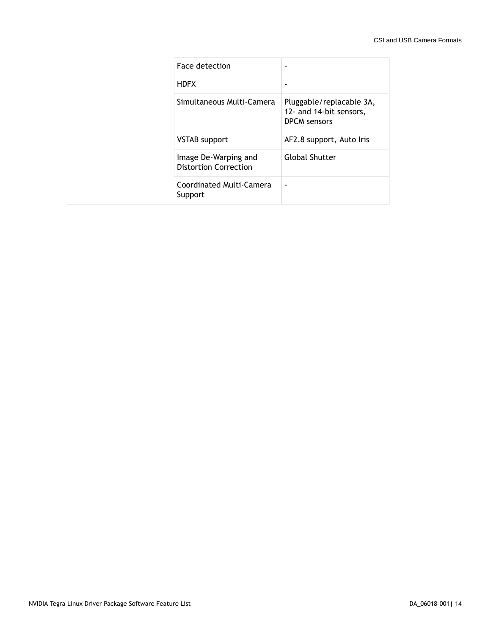| Face detection                                       | -                                                                          |
|------------------------------------------------------|----------------------------------------------------------------------------|
| <b>HDFX</b>                                          |                                                                            |
| Simultaneous Multi-Camera                            | Pluggable/replacable 3A,<br>12- and 14-bit sensors,<br><b>DPCM</b> sensors |
| <b>VSTAB</b> support                                 | AF2.8 support, Auto Iris                                                   |
| Image De-Warping and<br><b>Distortion Correction</b> | <b>Global Shutter</b>                                                      |
| Coordinated Multi-Camera<br>Support                  | $\overline{\phantom{0}}$                                                   |